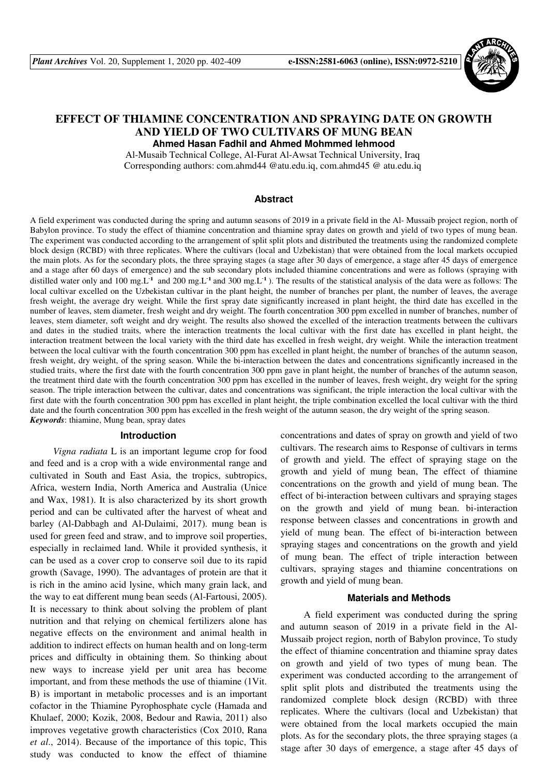

# **EFFECT OF THIAMINE CONCENTRATION AND SPRAYING DATE ON GROWTH AND YIELD OF TWO CULTIVARS OF MUNG BEAN Ahmed Hasan Fadhil and Ahmed Mohmmed lehmood**

Al-Musaib Technical College, Al-Furat Al-Awsat Technical University, Iraq Corresponding authors: com.ahmd44 @atu.edu.iq, com.ahmd45 @ atu.edu.iq

### **Abstract**

A field experiment was conducted during the spring and autumn seasons of 2019 in a private field in the Al- Mussaib project region, north of Babylon province. To study the effect of thiamine concentration and thiamine spray dates on growth and yield of two types of mung bean. The experiment was conducted according to the arrangement of split split plots and distributed the treatments using the randomized complete block design (RCBD) with three replicates. Where the cultivars (local and Uzbekistan) that were obtained from the local markets occupied the main plots. As for the secondary plots, the three spraying stages (a stage after 30 days of emergence, a stage after 45 days of emergence and a stage after 60 days of emergence) and the sub secondary plots included thiamine concentrations and were as follows (spraying with distilled water only and 100 mg.L<sup>-1</sup> and 200 mg.L<sup>-1</sup> and 300 mg.L<sup>-1</sup>). The results of the statistical analysis of the data were as follows: The local cultivar excelled on the Uzbekistan cultivar in the plant height, the number of branches per plant, the number of leaves, the average fresh weight, the average dry weight. While the first spray date significantly increased in plant height, the third date has excelled in the number of leaves, stem diameter, fresh weight and dry weight. The fourth concentration 300 ppm excelled in number of branches, number of leaves, stem diameter, soft weight and dry weight. The results also showed the excelled of the interaction treatments between the cultivars and dates in the studied traits, where the interaction treatments the local cultivar with the first date has excelled in plant height, the interaction treatment between the local variety with the third date has excelled in fresh weight, dry weight. While the interaction treatment between the local cultivar with the fourth concentration 300 ppm has excelled in plant height, the number of branches of the autumn season, fresh weight, dry weight, of the spring season. While the bi-interaction between the dates and concentrations significantly increased in the studied traits, where the first date with the fourth concentration 300 ppm gave in plant height, the number of branches of the autumn season, the treatment third date with the fourth concentration 300 ppm has excelled in the number of leaves, fresh weight, dry weight for the spring season. The triple interaction between the cultivar, dates and concentrations was significant, the triple interaction the local cultivar with the first date with the fourth concentration 300 ppm has excelled in plant height, the triple combination excelled the local cultivar with the third date and the fourth concentration 300 ppm has excelled in the fresh weight of the autumn season, the dry weight of the spring season. *Keywords*: thiamine, Mung bean, spray dates

#### **Introduction**

 *Vigna radiata* L is an important legume crop for food and feed and is a crop with a wide environmental range and cultivated in South and East Asia, the tropics, subtropics, Africa, western India, North America and Australia (Unice and Wax, 1981). It is also characterized by its short growth period and can be cultivated after the harvest of wheat and barley (Al-Dabbagh and Al-Dulaimi, 2017). mung bean is used for green feed and straw, and to improve soil properties, especially in reclaimed land. While it provided synthesis, it can be used as a cover crop to conserve soil due to its rapid growth (Savage, 1990). The advantages of protein are that it is rich in the amino acid lysine, which many grain lack, and the way to eat different mung bean seeds (Al-Fartousi, 2005). It is necessary to think about solving the problem of plant nutrition and that relying on chemical fertilizers alone has negative effects on the environment and animal health in addition to indirect effects on human health and on long-term prices and difficulty in obtaining them. So thinking about new ways to increase yield per unit area has become important, and from these methods the use of thiamine (1Vit. B) is important in metabolic processes and is an important cofactor in the Thiamine Pyrophosphate cycle (Hamada and Khulaef, 2000; Kozik, 2008, Bedour and Rawia, 2011) also improves vegetative growth characteristics (Cox 2010, Rana *et al*., 2014). Because of the importance of this topic, This study was conducted to know the effect of thiamine concentrations and dates of spray on growth and yield of two cultivars. The research aims to Response of cultivars in terms of growth and yield. The effect of spraying stage on the growth and yield of mung bean, The effect of thiamine concentrations on the growth and yield of mung bean. The effect of bi-interaction between cultivars and spraying stages on the growth and yield of mung bean. bi-interaction response between classes and concentrations in growth and yield of mung bean. The effect of bi-interaction between spraying stages and concentrations on the growth and yield of mung bean. The effect of triple interaction between cultivars, spraying stages and thiamine concentrations on growth and yield of mung bean.

# **Materials and Methods**

 A field experiment was conducted during the spring and autumn season of 2019 in a private field in the Al-Mussaib project region, north of Babylon province, To study the effect of thiamine concentration and thiamine spray dates on growth and yield of two types of mung bean. The experiment was conducted according to the arrangement of split split plots and distributed the treatments using the randomized complete block design (RCBD) with three replicates. Where the cultivars (local and Uzbekistan) that were obtained from the local markets occupied the main plots. As for the secondary plots, the three spraying stages (a stage after 30 days of emergence, a stage after 45 days of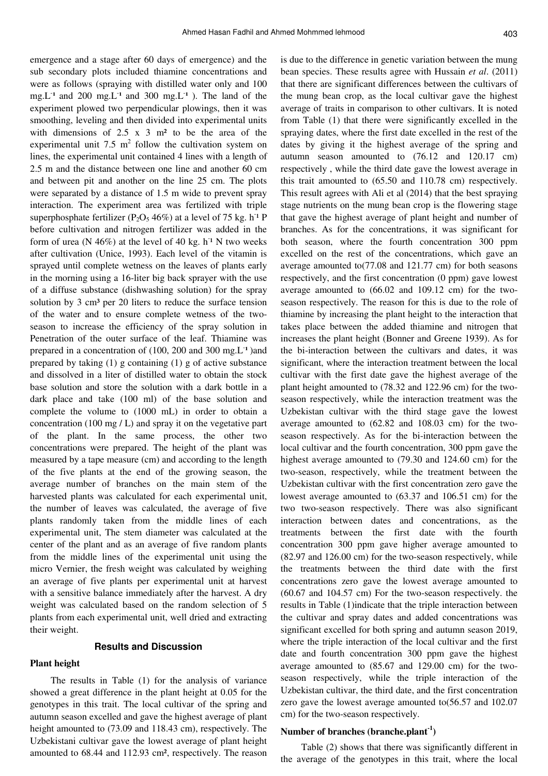emergence and a stage after 60 days of emergence) and the sub secondary plots included thiamine concentrations and were as follows (spraying with distilled water only and 100 mg.L<sup>-1</sup> and 200 mg.L<sup>-1</sup> and 300 mg.L<sup>-1</sup>). The land of the experiment plowed two perpendicular plowings, then it was smoothing, leveling and then divided into experimental units with dimensions of  $2.5 \times 3$  m<sup>2</sup> to be the area of the experimental unit 7.5  $m^2$  follow the cultivation system on lines, the experimental unit contained 4 lines with a length of 2.5 m and the distance between one line and another 60 cm and between pit and another on the line 25 cm. The plots were separated by a distance of 1.5 m wide to prevent spray interaction. The experiment area was fertilized with triple superphosphate fertilizer ( $P_2O_5$  46%) at a level of 75 kg. h<sup>-1</sup> P before cultivation and nitrogen fertilizer was added in the form of urea ( $N$  46%) at the level of 40 kg.  $h^1$  N two weeks after cultivation (Unice, 1993). Each level of the vitamin is sprayed until complete wetness on the leaves of plants early in the morning using a 16-liter big back sprayer with the use of a diffuse substance (dishwashing solution) for the spray solution by 3 cm<sup>3</sup> per 20 liters to reduce the surface tension of the water and to ensure complete wetness of the twoseason to increase the efficiency of the spray solution in Penetration of the outer surface of the leaf. Thiamine was prepared in a concentration of (100, 200 and 300 mg.L<sup>-1</sup>)and prepared by taking (1) g containing (1) g of active substance and dissolved in a liter of distilled water to obtain the stock base solution and store the solution with a dark bottle in a dark place and take (100 ml) of the base solution and complete the volume to (1000 mL) in order to obtain a concentration (100 mg  $/L$ ) and spray it on the vegetative part of the plant. In the same process, the other two concentrations were prepared. The height of the plant was measured by a tape measure (cm) and according to the length of the five plants at the end of the growing season, the average number of branches on the main stem of the harvested plants was calculated for each experimental unit, the number of leaves was calculated, the average of five plants randomly taken from the middle lines of each experimental unit, The stem diameter was calculated at the center of the plant and as an average of five random plants from the middle lines of the experimental unit using the micro Vernier, the fresh weight was calculated by weighing an average of five plants per experimental unit at harvest with a sensitive balance immediately after the harvest. A dry weight was calculated based on the random selection of 5 plants from each experimental unit, well dried and extracting their weight.

# **Results and Discussion**

# **Plant height**

The results in Table (1) for the analysis of variance showed a great difference in the plant height at 0.05 for the genotypes in this trait. The local cultivar of the spring and autumn season excelled and gave the highest average of plant height amounted to  $(73.09 \text{ and } 118.43 \text{ cm})$ , respectively. The Uzbekistani cultivar gave the lowest average of plant height amounted to 68.44 and 112.93 cm², respectively. The reason

is due to the difference in genetic variation between the mung bean species. These results agree with Hussain *et al*. (2011) that there are significant differences between the cultivars of the mung bean crop, as the local cultivar gave the highest average of traits in comparison to other cultivars. It is noted from Table (1) that there were significantly excelled in the spraying dates, where the first date excelled in the rest of the dates by giving it the highest average of the spring and autumn season amounted to (76.12 and 120.17 cm) respectively , while the third date gave the lowest average in this trait amounted to (65.50 and 110.78 cm) respectively. This result agrees with Ali et al (2014) that the best spraying stage nutrients on the mung bean crop is the flowering stage that gave the highest average of plant height and number of branches. As for the concentrations, it was significant for both season, where the fourth concentration 300 ppm excelled on the rest of the concentrations, which gave an average amounted to(77.08 and 121.77 cm) for both seasons respectively, and the first concentration (0 ppm) gave lowest average amounted to (66.02 and 109.12 cm) for the twoseason respectively. The reason for this is due to the role of thiamine by increasing the plant height to the interaction that takes place between the added thiamine and nitrogen that increases the plant height (Bonner and Greene 1939). As for the bi-interaction between the cultivars and dates, it was significant, where the interaction treatment between the local cultivar with the first date gave the highest average of the plant height amounted to (78.32 and 122.96 cm) for the twoseason respectively, while the interaction treatment was the Uzbekistan cultivar with the third stage gave the lowest average amounted to (62.82 and 108.03 cm) for the twoseason respectively. As for the bi-interaction between the local cultivar and the fourth concentration, 300 ppm gave the highest average amounted to (79.30 and 124.60 cm) for the two-season, respectively, while the treatment between the Uzbekistan cultivar with the first concentration zero gave the lowest average amounted to (63.37 and 106.51 cm) for the two two-season respectively. There was also significant interaction between dates and concentrations, as the treatments between the first date with the fourth concentration 300 ppm gave higher average amounted to (82.97 and 126.00 cm) for the two-season respectively, while the treatments between the third date with the first concentrations zero gave the lowest average amounted to (60.67 and 104.57 cm) For the two-season respectively. the results in Table (1)indicate that the triple interaction between the cultivar and spray dates and added concentrations was significant excelled for both spring and autumn season 2019, where the triple interaction of the local cultivar and the first date and fourth concentration 300 ppm gave the highest average amounted to (85.67 and 129.00 cm) for the twoseason respectively, while the triple interaction of the Uzbekistan cultivar, the third date, and the first concentration zero gave the lowest average amounted to(56.57 and 102.07 cm) for the two-season respectively.

#### **Number of branches (branche.plant-1)**

Table (2) shows that there was significantly different in the average of the genotypes in this trait, where the local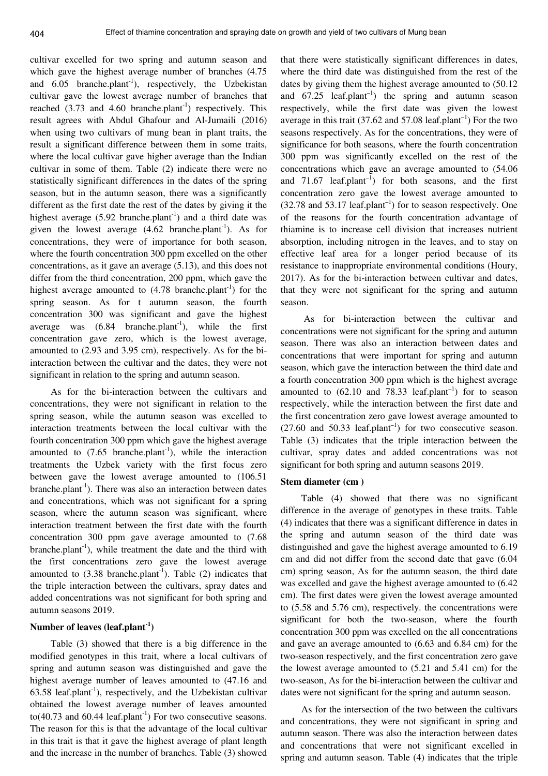cultivar excelled for two spring and autumn season and which gave the highest average number of branches (4.75 and  $6.05$  branche.plant<sup>-1</sup>), respectively, the Uzbekistan cultivar gave the lowest average number of branches that reached  $(3.73 \text{ and } 4.60 \text{ branche.} \text{plant}^{-1})$  respectively. This result agrees with Abdul Ghafour and Al-Jumaili (2016) when using two cultivars of mung bean in plant traits, the result a significant difference between them in some traits, where the local cultivar gave higher average than the Indian cultivar in some of them. Table (2) indicate there were no statistically significant differences in the dates of the spring season, but in the autumn season, there was a significantly different as the first date the rest of the dates by giving it the highest average  $(5.92 \text{ branches.} plant^{-1})$  and a third date was given the lowest average  $(4.62 \text{ branches.} plant^1)$ . As for concentrations, they were of importance for both season, where the fourth concentration 300 ppm excelled on the other concentrations, as it gave an average (5.13), and this does not differ from the third concentration, 200 ppm, which gave the highest average amounted to  $(4.78 \text{ branches.} plant^{-1})$  for the spring season. As for t autumn season, the fourth concentration 300 was significant and gave the highest average was  $(6.84 \text{ branches.} plant^{-1})$ , while the first concentration gave zero, which is the lowest average, amounted to (2.93 and 3.95 cm), respectively. As for the biinteraction between the cultivar and the dates, they were not significant in relation to the spring and autumn season.

As for the bi-interaction between the cultivars and concentrations, they were not significant in relation to the spring season, while the autumn season was excelled to interaction treatments between the local cultivar with the fourth concentration 300 ppm which gave the highest average amounted to  $(7.65$  branche.plant<sup>-1</sup>), while the interaction treatments the Uzbek variety with the first focus zero between gave the lowest average amounted to (106.51  $branche.plant<sup>-1</sup>$ . There was also an interaction between dates and concentrations, which was not significant for a spring season, where the autumn season was significant, where interaction treatment between the first date with the fourth concentration 300 ppm gave average amounted to (7.68 branche.plant<sup>-1</sup>), while treatment the date and the third with the first concentrations zero gave the lowest average amounted to  $(3.38 \text{ branches.}^1)$ . Table  $(2)$  indicates that the triple interaction between the cultivars, spray dates and added concentrations was not significant for both spring and autumn seasons 2019.

# **Number of leaves (leaf.plant-1)**

Table (3) showed that there is a big difference in the modified genotypes in this trait, where a local cultivars of spring and autumn season was distinguished and gave the highest average number of leaves amounted to (47.16 and 63.58 leaf.plant<sup>-1</sup>), respectively, and the Uzbekistan cultivar obtained the lowest average number of leaves amounted to(40.73 and 60.44 leaf.plant<sup>-1</sup>) For two consecutive seasons. The reason for this is that the advantage of the local cultivar in this trait is that it gave the highest average of plant length and the increase in the number of branches. Table (3) showed that there were statistically significant differences in dates, where the third date was distinguished from the rest of the dates by giving them the highest average amounted to (50.12 and  $67.25$  leaf.plant<sup>-1</sup>) the spring and autumn season respectively, while the first date was given the lowest average in this trait (37.62 and 57.08 leaf.plant<sup>-1</sup>) For the two seasons respectively. As for the concentrations, they were of significance for both seasons, where the fourth concentration 300 ppm was significantly excelled on the rest of the concentrations which gave an average amounted to (54.06 and 71.67 leaf.plant<sup>-1</sup>) for both seasons, and the first concentration zero gave the lowest average amounted to  $(32.78$  and  $53.17$  leaf.plant<sup>-1</sup>) for to season respectively. One of the reasons for the fourth concentration advantage of thiamine is to increase cell division that increases nutrient absorption, including nitrogen in the leaves, and to stay on effective leaf area for a longer period because of its resistance to inappropriate environmental conditions (Houry, 2017). As for the bi-interaction between cultivar and dates, that they were not significant for the spring and autumn season.

 As for bi-interaction between the cultivar and concentrations were not significant for the spring and autumn season. There was also an interaction between dates and concentrations that were important for spring and autumn season, which gave the interaction between the third date and a fourth concentration 300 ppm which is the highest average amounted to  $(62.10 \text{ and } 78.33 \text{ leaf.} \text{plant}^{-1})$  for to season respectively, while the interaction between the first date and the first concentration zero gave lowest average amounted to  $(27.60 \text{ and } 50.33 \text{ leaf.} \text{plant}^{-1})$  for two consecutive season. Table (3) indicates that the triple interaction between the cultivar, spray dates and added concentrations was not significant for both spring and autumn seasons 2019.

### **Stem diameter (cm )**

Table (4) showed that there was no significant difference in the average of genotypes in these traits. Table (4) indicates that there was a significant difference in dates in the spring and autumn season of the third date was distinguished and gave the highest average amounted to 6.19 cm and did not differ from the second date that gave (6.04 cm) spring season, As for the autumn season, the third date was excelled and gave the highest average amounted to (6.42 cm). The first dates were given the lowest average amounted to (5.58 and 5.76 cm), respectively. the concentrations were significant for both the two-season, where the fourth concentration 300 ppm was excelled on the all concentrations and gave an average amounted to (6.63 and 6.84 cm) for the two-season respectively, and the first concentration zero gave the lowest average amounted to (5.21 and 5.41 cm) for the two-season, As for the bi-interaction between the cultivar and dates were not significant for the spring and autumn season.

As for the intersection of the two between the cultivars and concentrations, they were not significant in spring and autumn season. There was also the interaction between dates and concentrations that were not significant excelled in spring and autumn season. Table (4) indicates that the triple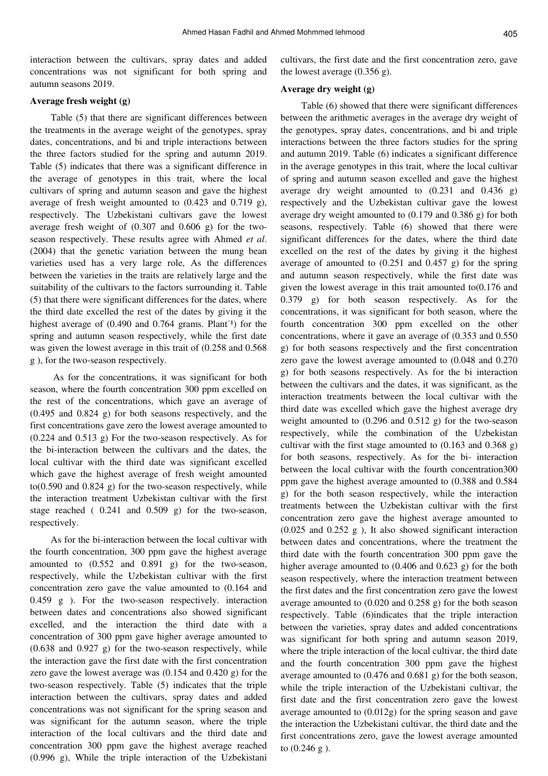interaction between the cultivars, spray dates and added concentrations was not significant for both spring and autumn seasons 2019.

#### **Average fresh weight (g)**

Table (5) that there are significant differences between the treatments in the average weight of the genotypes, spray dates, concentrations, and bi and triple interactions between the three factors studied for the spring and autumn 2019. Table (5) indicates that there was a significant difference in the average of genotypes in this trait, where the local cultivars of spring and autumn season and gave the highest average of fresh weight amounted to (0.423 and 0.719 g), respectively. The Uzbekistani cultivars gave the lowest average fresh weight of (0.307 and 0.606 g) for the twoseason respectively. These results agree with Ahmed *et al*. (2004) that the genetic variation between the mung bean varieties used has a very large role, As the differences between the varieties in the traits are relatively large and the suitability of the cultivars to the factors surrounding it. Table (5) that there were significant differences for the dates, where the third date excelled the rest of the dates by giving it the highest average of  $(0.490$  and  $0.764$  grams. Plant<sup>-1</sup>) for the spring and autumn season respectively, while the first date was given the lowest average in this trait of (0.258 and 0.568 g ), for the two-season respectively.

 As for the concentrations, it was significant for both season, where the fourth concentration 300 ppm excelled on the rest of the concentrations, which gave an average of (0.495 and 0.824 g) for both seasons respectively, and the first concentrations gave zero the lowest average amounted to (0.224 and 0.513 g) For the two-season respectively. As for the bi-interaction between the cultivars and the dates, the local cultivar with the third date was significant excelled which gave the highest average of fresh weight amounted to( $0.590$  and  $0.824$  g) for the two-season respectively, while the interaction treatment Uzbekistan cultivar with the first stage reached ( 0.241 and 0.509 g) for the two-season, respectively.

As for the bi-interaction between the local cultivar with the fourth concentration, 300 ppm gave the highest average amounted to (0.552 and 0.891 g) for the two-season, respectively, while the Uzbekistan cultivar with the first concentration zero gave the value amounted to (0.164 and 0.459 g ). For the two-season respectively. interaction between dates and concentrations also showed significant excelled, and the interaction the third date with a concentration of 300 ppm gave higher average amounted to (0.638 and 0.927 g) for the two-season respectively, while the interaction gave the first date with the first concentration zero gave the lowest average was (0.154 and 0.420 g) for the two-season respectively. Table (5) indicates that the triple interaction between the cultivars, spray dates and added concentrations was not significant for the spring season and was significant for the autumn season, where the triple interaction of the local cultivars and the third date and concentration 300 ppm gave the highest average reached (0.996 g), While the triple interaction of the Uzbekistani cultivars, the first date and the first concentration zero, gave the lowest average (0.356 g).

# **Average dry weight (g)**

Table (6) showed that there were significant differences between the arithmetic averages in the average dry weight of the genotypes, spray dates, concentrations, and bi and triple interactions between the three factors studies for the spring and autumn 2019. Table (6) indicates a significant difference in the average genotypes in this trait, where the local cultivar of spring and autumn season excelled and gave the highest average dry weight amounted to (0.231 and 0.436 g) respectively and the Uzbekistan cultivar gave the lowest average dry weight amounted to (0.179 and 0.386 g) for both seasons, respectively. Table (6) showed that there were significant differences for the dates, where the third date excelled on the rest of the dates by giving it the highest average of amounted to  $(0.251$  and  $0.457$  g) for the spring and autumn season respectively, while the first date was given the lowest average in this trait amounted to(0.176 and 0.379 g) for both season respectively. As for the concentrations, it was significant for both season, where the fourth concentration 300 ppm excelled on the other concentrations, where it gave an average of (0.353 and 0.550 g) for both seasons respectively and the first concentration zero gave the lowest average amounted to (0.048 and 0.270 g) for both seasons respectively. As for the bi interaction between the cultivars and the dates, it was significant, as the interaction treatments between the local cultivar with the third date was excelled which gave the highest average dry weight amounted to (0.296 and 0.512 g) for the two-season respectively, while the combination of the Uzbekistan cultivar with the first stage amounted to (0.163 and 0.368 g) for both seasons, respectively. As for the bi- interaction between the local cultivar with the fourth concentration300 ppm gave the highest average amounted to (0.388 and 0.584 g) for the both season respectively, while the interaction treatments between the Uzbekistan cultivar with the first concentration zero gave the highest average amounted to  $(0.025$  and  $0.252$  g), It also showed significant interaction between dates and concentrations, where the treatment the third date with the fourth concentration 300 ppm gave the higher average amounted to (0.406 and 0.623 g) for the both season respectively, where the interaction treatment between the first dates and the first concentration zero gave the lowest average amounted to (0.020 and 0.258 g) for the both season respectively. Table (6)indicates that the triple interaction between the varieties, spray dates and added concentrations was significant for both spring and autumn season 2019, where the triple interaction of the local cultivar, the third date and the fourth concentration 300 ppm gave the highest average amounted to (0.476 and 0.681 g) for the both season, while the triple interaction of the Uzbekistani cultivar, the first date and the first concentration zero gave the lowest average amounted to (0.012g) for the spring season and gave the interaction the Uzbekistani cultivar, the third date and the first concentrations zero, gave the lowest average amounted to (0.246 g ).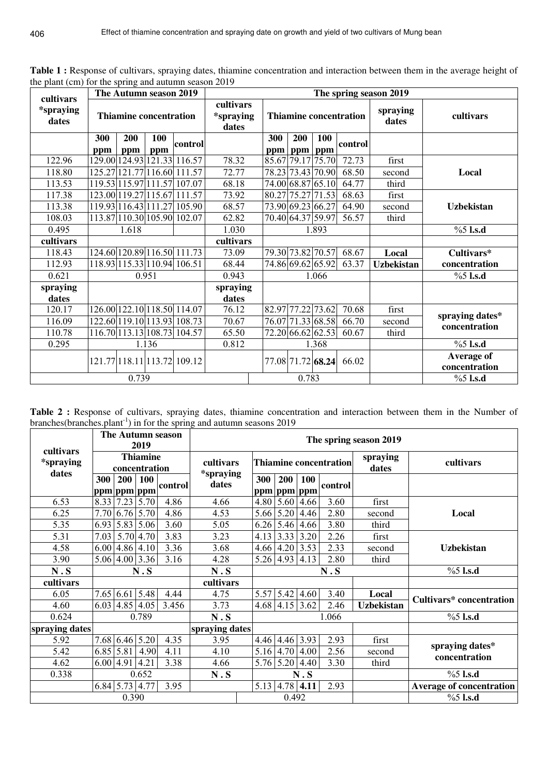| $\mu$ pair (cm) for the spring and addition season 2013<br>cultivars |                   | The Autumn season 2019        |            |                             |                                 | The spring season 2019 |  |                               |                   |                               |                   |                             |  |  |  |
|----------------------------------------------------------------------|-------------------|-------------------------------|------------|-----------------------------|---------------------------------|------------------------|--|-------------------------------|-------------------|-------------------------------|-------------------|-----------------------------|--|--|--|
| <i>*spraying</i><br>dates                                            |                   | <b>Thiamine concentration</b> |            |                             | cultivars<br>*spraying<br>dates |                        |  |                               |                   | <b>Thiamine concentration</b> | spraying<br>dates | cultivars                   |  |  |  |
|                                                                      | <b>300</b><br>ppm | <b>200</b><br>ppm             | 100<br>ppm | control                     |                                 | <b>300</b>             |  | <b>200</b><br>ppm   ppm   ppm | <b>100</b>        | control                       |                   |                             |  |  |  |
| 122.96                                                               |                   |                               |            | 129.00 124.93 121.33 116.57 | 78.32                           |                        |  |                               | 85.67 79.17 75.70 | $\overline{72.73}$            | first             |                             |  |  |  |
| 118.80                                                               |                   |                               |            | 125.27 121.77 116.60 111.57 | 72.77                           |                        |  |                               | 78.23 73.43 70.90 | 68.50                         | second            | Local                       |  |  |  |
| 113.53                                                               |                   |                               |            | 119.53 115.97 111.57 107.07 | 68.18                           |                        |  |                               | 74.00 68.87 65.10 | 64.77                         | third             |                             |  |  |  |
| 117.38                                                               |                   |                               |            | 123.00 19.27 15.67 111.57   | 73.92                           |                        |  |                               | 80.27 75.27 71.53 | 68.63                         | first             |                             |  |  |  |
| 113.38                                                               |                   |                               |            | 119.93 16.43 111.27 105.90  | 68.57                           |                        |  |                               | 73.90 69.23 66.27 | 64.90                         | second            | <b>Uzbekistan</b>           |  |  |  |
| 108.03                                                               |                   |                               |            | 113.87 110.30 105.90 102.07 | 62.82                           |                        |  |                               | 70.40 64.37 59.97 | 56.57                         | third             |                             |  |  |  |
| 0.495                                                                |                   | 1.618                         |            | 1.030                       |                                 |                        |  | 1.893                         |                   |                               | $%5$ l.s.d        |                             |  |  |  |
| cultivars                                                            |                   |                               |            |                             | cultivars                       |                        |  |                               |                   |                               |                   |                             |  |  |  |
| 118.43                                                               |                   |                               |            | 124.60 120.89 116.50 111.73 | 73.09                           |                        |  |                               | 79.30 73.82 70.57 | 68.67                         | Local             | Cultivars*                  |  |  |  |
| 112.93                                                               |                   |                               |            | 118.93 115.33 110.94 106.51 | 68.44                           |                        |  |                               | 74.86 69.62 65.92 | 63.37                         | <b>Uzbekistan</b> | concentration               |  |  |  |
| 0.621                                                                |                   |                               | 0.951      |                             | 0.943                           |                        |  |                               | 1.066             |                               |                   | $%5$ l.s.d                  |  |  |  |
| spraying<br>dates                                                    |                   |                               |            |                             | spraying<br>dates               |                        |  |                               |                   |                               |                   |                             |  |  |  |
| 120.17                                                               |                   |                               |            | 126.00 122.10 118.50 114.07 | 76.12                           |                        |  |                               | 82.97 77.22 73.62 | 70.68                         | first             | spraying dates*             |  |  |  |
| 116.09                                                               |                   |                               |            | 122.60 119.10 113.93 108.73 | 70.67                           |                        |  |                               | 76.07 71.33 68.58 | 66.70                         | second            | concentration               |  |  |  |
| 110.78                                                               |                   |                               |            | 116.70 113.13 108.73 104.57 | 65.50                           |                        |  |                               | 72.20 66.62 62.53 | 60.67                         | third             |                             |  |  |  |
| 0.295                                                                |                   |                               | 1.136      |                             | 0.812                           |                        |  |                               | 1.368             |                               |                   | $%5$ l.s.d                  |  |  |  |
|                                                                      |                   |                               |            | 121.77 18.11 13.72 109.12   |                                 |                        |  |                               | 77.08 71.72 68.24 | 66.02                         |                   | Average of<br>concentration |  |  |  |
| 0.739                                                                |                   |                               |            |                             |                                 |                        |  | 0.783                         |                   |                               |                   | $%5$ l.s.d                  |  |  |  |

Table 1 : Response of cultivars, spraying dates, thiamine concentration and interaction between them in the average height of the plant (cm) for the spring and autumn season 2019

**Table 2 :** Response of cultivars, spraying dates, thiamine concentration and interaction between them in the Number of branches(branches.plant<sup>-1</sup>) in for the spring and autumn seasons  $2019$ 

| cultivars                 | The Autumn season<br>2019        |                    |                  |         |                               | The spring season 2019 |             |                           |                               |                   |                                 |  |  |  |  |
|---------------------------|----------------------------------|--------------------|------------------|---------|-------------------------------|------------------------|-------------|---------------------------|-------------------------------|-------------------|---------------------------------|--|--|--|--|
| <i>*spraying</i><br>dates | <b>Thiamine</b><br>concentration |                    |                  |         | cultivars<br><i>*spraying</i> |                        |             |                           | <b>Thiamine concentration</b> | spraying<br>dates | cultivars                       |  |  |  |  |
|                           | 300                              | 200<br>ppm ppm ppm | 100              | control | dates                         | 300                    | <b>200</b>  | <b>100</b><br>ppm ppm ppm | control                       |                   |                                 |  |  |  |  |
| 6.53                      |                                  | 8.33 7.23          | 5.70             | 4.86    | 4.66                          | 4.80                   |             | $5.60 \,   \, 4.66$       | 3.60                          | first             |                                 |  |  |  |  |
| 6.25                      |                                  | 7.70 6.76          | 5.70             | 4.86    | 4.53                          | 5.66                   | 5.20        | 4.46                      | 2.80                          | second            | Local                           |  |  |  |  |
| 5.35                      |                                  | 6.93 5.83          | 5.06             | 3.60    | 5.05                          | 6.26                   | 5.46        | 4.66                      | 3.80                          | third             |                                 |  |  |  |  |
| 5.31                      |                                  |                    | 7.03 5.70 4.70   | 3.83    | 3.23                          |                        | $4.13$ 3.33 | 3.20                      | 2.26                          | first             |                                 |  |  |  |  |
| 4.58                      |                                  |                    | $6.00$ 4.86 4.10 | 3.36    | 3.68                          | 4.66                   | 4.20        | 3.53                      | 2.33                          | second            | <b>Uzbekistan</b>               |  |  |  |  |
| 3.90                      |                                  |                    | 5.06 4.00 3.36   | 3.16    | 4.28                          |                        |             | $5.26$ 4.93 4.13          | 2.80                          | third             |                                 |  |  |  |  |
| N.S                       | N.S                              |                    |                  |         | N.S                           |                        |             |                           | N.S                           |                   | $%5$ l.s.d                      |  |  |  |  |
| cultivars                 |                                  |                    |                  |         | cultivars                     |                        |             |                           |                               |                   |                                 |  |  |  |  |
| 6.05                      |                                  | 7.65 6.61          | 5.48             | 4.44    | 4.75                          | 5.57                   | 5.42        | 4.60                      | 3.40                          | Local             | <b>Cultivars*</b> concentration |  |  |  |  |
| 4.60                      |                                  |                    | $6.03$ 4.85 4.05 | 3.456   | 3.73                          |                        |             | $4.68$ 4.15 3.62          | 2.46                          | <b>Uzbekistan</b> |                                 |  |  |  |  |
| 0.624                     |                                  |                    | 0.789            |         | N.S                           |                        |             |                           | 1.066                         |                   | $%5$ l.s.d                      |  |  |  |  |
| spraying dates            |                                  |                    |                  |         | spraying dates                |                        |             |                           |                               |                   |                                 |  |  |  |  |
| 5.92                      |                                  | 7.68 6.46          | 5.20             | 4.35    | 3.95                          |                        |             | 4.46 4.46 3.93            | 2.93                          | first             | spraying dates*                 |  |  |  |  |
| 5.42                      |                                  | 6.85 5.81          | 4.90             | 4.11    | 4.10                          | 5.16                   |             | 4.70 4.00                 | 2.56                          | second            | concentration                   |  |  |  |  |
| 4.62                      | 6.00   4.91                      |                    | 4.21             | 3.38    | 4.66                          |                        | 5.76 5.20   | 4.40                      | 3.30                          | third             |                                 |  |  |  |  |
| 0.338                     | 0.652                            |                    |                  |         | N.S                           |                        |             | N.S                       |                               |                   | $%5$ l.s.d                      |  |  |  |  |
|                           |                                  |                    | 6.84 5.73 4.77   | 3.95    |                               | 5.13                   |             | $4.78$ 4.11               | 2.93                          |                   | Average of concentration        |  |  |  |  |
|                           |                                  | 0.390              |                  |         |                               |                        | 0.492       |                           |                               |                   | $%5$ l.s.d                      |  |  |  |  |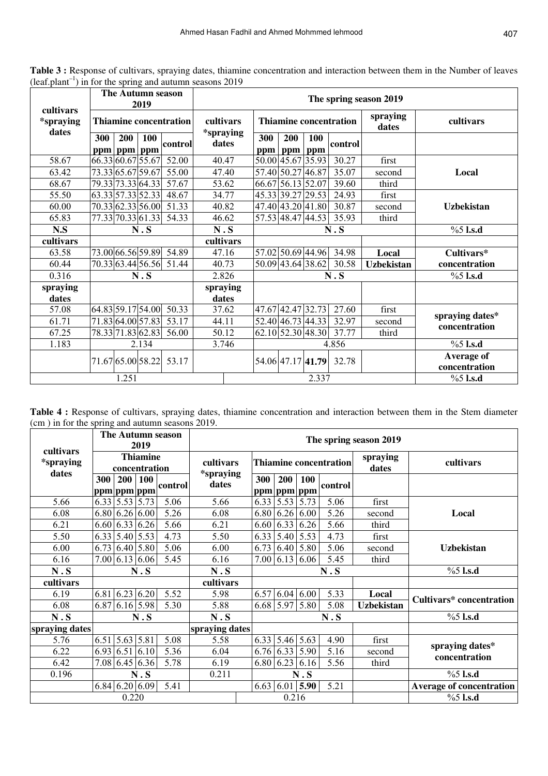| cultivars                 | The Autumn season<br>2019     |                       |                               |            |                   |            |                               |                   |                             |
|---------------------------|-------------------------------|-----------------------|-------------------------------|------------|-------------------|------------|-------------------------------|-------------------|-----------------------------|
| <i>*spraying</i><br>dates | <b>Thiamine concentration</b> |                       | cultivars<br><i>*spraying</i> |            |                   |            | <b>Thiamine concentration</b> | spraying<br>dates | cultivars                   |
|                           | 300<br>200<br>ppm ppm ppm     | <b>100</b><br>control | dates                         | 300<br>ppm | 200<br>ppm        | 100<br>ppm | control                       |                   |                             |
| 58.67                     | 66.33 60.67 55.67             | 52.00                 | 40.47                         |            | 50.00 45.67 35.93 |            | 30.27                         | first             |                             |
| 63.42                     | 73.33 65.67 59.67             | 55.00                 | 47.40                         |            | 57.40 50.27 46.87 |            | 35.07                         | second            | Local                       |
| 68.67                     | 79.33 73.33 64.33             | 57.67                 | 53.62                         |            | 66.67 56.13 52.07 |            | 39.60                         | third             |                             |
| 55.50                     | 63.33 57.33 52.33             | 48.67                 | 34.77                         |            | 45.33 39.27 29.53 |            | 24.93                         | first             |                             |
| 60.00                     | 70.33 62.33 56.00             | 51.33                 | 40.82                         |            | 47.40 43.20 41.80 |            | 30.87                         | second            | <b>Uzbekistan</b>           |
| 65.83                     | 77.33 70.33 61.33             | 54.33                 | 46.62                         |            | 57.53 48.47 44.53 |            | 35.93                         | third             |                             |
| N.S                       | N.S                           |                       | N.S                           |            |                   | N.S        | $%5$ l.s.d                    |                   |                             |
| cultivars                 |                               |                       | cultivars                     |            |                   |            |                               |                   |                             |
| 63.58                     | 73.00 66.56 59.89             | 54.89                 | 47.16                         |            | 57.02 50.69 44.96 |            | 34.98                         | Local             | Cultivars*                  |
| 60.44                     | 70.33 63.44 56.56 51.44       |                       | 40.73                         |            | 50.09 43.64 38.62 |            | 30.58                         | <b>Uzbekistan</b> | concentration               |
| 0.316                     | N.S                           |                       | 2.826                         |            |                   | N.S        | $%5$ l.s.d                    |                   |                             |
| spraying                  |                               |                       | spraying                      |            |                   |            |                               |                   |                             |
| dates                     |                               |                       | dates                         |            |                   |            |                               |                   |                             |
| 57.08                     | 64.83 59.17 54.00             | 50.33                 | 37.62                         |            | 47.67 42.47 32.73 |            | 27.60                         | first             | spraying dates*             |
| 61.71                     | 71.83 64.00 57.83             | 53.17                 | 44.11                         |            | 52.40 46.73 44.33 |            | 32.97                         | second            | concentration               |
| 67.25                     | 78.33 71.83 62.83             | 56.00                 | 50.12                         |            | 62.10 52.30 48.30 |            | 37.77                         | third             |                             |
| 1.183                     | 2.134                         |                       | 3.746                         |            |                   |            | 4.856                         |                   | $%5$ l.s.d                  |
|                           | 71.67 65.00 58.22             | 53.17                 |                               |            | 54.06 47.17 41.79 |            | 32.78                         |                   | Average of<br>concentration |
|                           | 1.251                         |                       |                               |            |                   | 2.337      |                               |                   | $%5$ l.s.d                  |

Table 3 : Response of cultivars, spraying dates, thiamine concentration and interaction between them in the Number of leaves  $(leaf.plant^{-1})$  in for the spring and autumn seasons 2019

Table 4 : Response of cultivars, spraying dates, thiamine concentration and interaction between them in the Stem diameter (cm ) in for the spring and autumn seasons 2019.

| cultivars                 | The Autumn season<br>2019        |       |                            |         | The spring season 2019        |                    |                     |                            |                               |                   |                                  |  |  |  |  |
|---------------------------|----------------------------------|-------|----------------------------|---------|-------------------------------|--------------------|---------------------|----------------------------|-------------------------------|-------------------|----------------------------------|--|--|--|--|
| <i>*spraying</i><br>dates | <b>Thiamine</b><br>concentration |       |                            |         | cultivars<br><i>*spraying</i> |                    |                     |                            | <b>Thiamine concentration</b> | spraying<br>dates | cultivars                        |  |  |  |  |
|                           | 300                              | 200   | 100<br>ppm ppm ppm         | control | dates                         | 300<br>ppm ppm ppm | 200                 | <b>100</b>                 | control                       |                   |                                  |  |  |  |  |
| 5.66                      |                                  |       | $6.33$ 5.53 5.73           | 5.06    | 5.66                          |                    | 6.33 5.53 5.73      |                            | 5.06                          | first             |                                  |  |  |  |  |
| 6.08                      |                                  |       | $6.80 \, 6.26 \, 6.00$     | 5.26    | 6.08                          |                    | $6.80$ 6.26 6.00    |                            | 5.26                          | second            | Local                            |  |  |  |  |
| 6.21                      |                                  |       | 6.60 6.33 6.26             | 5.66    | 6.21                          |                    |                     | $6.60$ 6.33 6.26           | 5.66                          | third             |                                  |  |  |  |  |
| 5.50                      |                                  |       | 6.33 5.40 5.53             | 4.73    | 5.50                          |                    |                     | 6.33 5.40 5.53             | 4.73                          | first             |                                  |  |  |  |  |
| 6.00                      |                                  |       | $6.73$ 6.40 5.80           | 5.06    | 6.00                          | 6.73               |                     | $6.40 \mid 5.80$           | 5.06                          | second            | <b>Uzbekistan</b>                |  |  |  |  |
| 6.16                      |                                  |       | 7.00 6.13 6.06             | 5.45    | 6.16                          |                    |                     | $7.00 \mid 6.13 \mid 6.06$ | 5.45                          | third             |                                  |  |  |  |  |
| N.S                       | N.S                              |       |                            |         | N.S                           |                    |                     |                            | N.S                           |                   | $%5$ l.s.d                       |  |  |  |  |
| cultivars                 |                                  |       |                            |         | cultivars                     |                    |                     |                            |                               |                   |                                  |  |  |  |  |
| 6.19                      |                                  |       | $6.81$ 6.23 6.20           | 5.52    | 5.98                          | 6.57               | $6.04 \,   \, 6.00$ |                            | 5.33                          | Local             | <b>Cultivars*</b> concentration  |  |  |  |  |
| 6.08                      |                                  |       | 6.87 6.16 5.98             | 5.30    | 5.88                          |                    | 6.68 5.97           | 5.80                       | 5.08                          | <b>Uzbekistan</b> |                                  |  |  |  |  |
| N.S                       |                                  |       | N.S                        |         | N.S                           |                    |                     |                            | N.S                           |                   | $%5$ l.s.d                       |  |  |  |  |
| spraying dates            |                                  |       |                            |         | spraying dates                |                    |                     |                            |                               |                   |                                  |  |  |  |  |
| 5.76                      |                                  |       | $6.51$ 5.63 5.81           | 5.08    | 5.58                          |                    |                     | 6.33 5.46 5.63             | 4.90                          | first             |                                  |  |  |  |  |
| 6.22                      |                                  |       | $6.93 \mid 6.51 \mid 6.10$ | 5.36    | 6.04                          |                    |                     | $6.76$ 6.33 5.90           | 5.16                          | second            | spraying dates*<br>concentration |  |  |  |  |
| 6.42                      |                                  |       | 7.08 6.45 6.36             | 5.78    | 6.19                          |                    |                     | $6.80$ 6.23 6.16           | 5.56                          | third             |                                  |  |  |  |  |
| 0.196                     | N.S                              |       |                            |         | 0.211                         |                    |                     | N.S                        |                               |                   | $%5$ l.s.d                       |  |  |  |  |
|                           |                                  |       | $6.84 \mid 6.20 \mid 6.09$ | 5.41    |                               |                    |                     | 6.63   6.01   5.90         | 5.21                          |                   | <b>Average of concentration</b>  |  |  |  |  |
|                           |                                  | 0.220 |                            |         |                               |                    | 0.216               |                            |                               |                   | $%5$ l.s.d                       |  |  |  |  |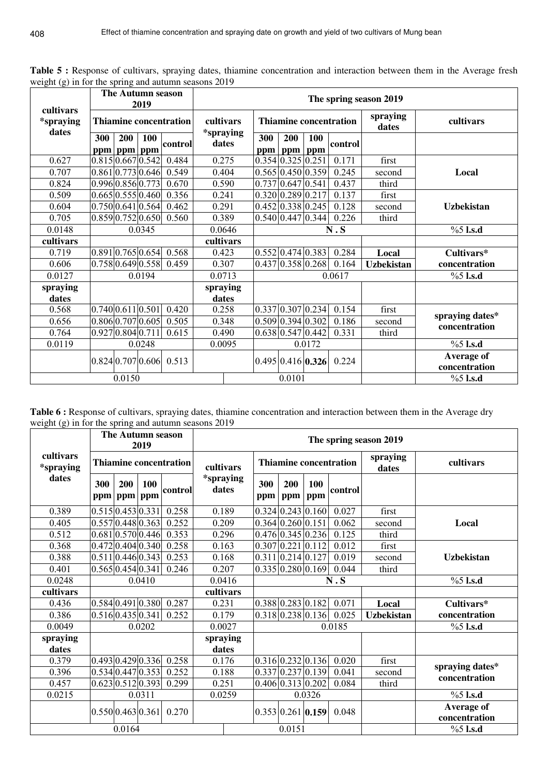|                                        | <b>The Autumn season</b><br>2019 |                |                                    |                               |       | The spring season 2019    |                   |            |                                    |                               |                   |                                  |  |  |  |
|----------------------------------------|----------------------------------|----------------|------------------------------------|-------------------------------|-------|---------------------------|-------------------|------------|------------------------------------|-------------------------------|-------------------|----------------------------------|--|--|--|
| cultivars<br><i>*spraying</i><br>dates |                                  |                |                                    | <b>Thiamine concentration</b> |       | cultivars                 |                   |            |                                    | <b>Thiamine concentration</b> | spraying<br>dates | cultivars                        |  |  |  |
|                                        | 300                              | 200<br>ppm ppm | 100<br>ppm                         | control                       |       | <i>*spraying</i><br>dates | 300<br>ppm        | 200        | <b>100</b><br>ppm ppm              | control                       |                   |                                  |  |  |  |
| 0.627                                  |                                  |                | $0.815 \mid 0.667 \mid 0.542 \mid$ | 0.484                         |       | 0.275                     |                   |            | $0.354 \,   0.325 \,   0.251 \,$   | 0.171                         | first             |                                  |  |  |  |
| 0.707                                  |                                  |                | 0.861[0.773]0.646                  | 0.549                         |       | 0.404                     |                   |            | $0.565 \, 0.450 \, 0.359$          | 0.245                         | second            | Local                            |  |  |  |
| 0.824                                  |                                  |                | 0.9960.8560.773                    | 0.670                         |       | 0.590                     | 0.737 0.647 0.541 |            |                                    | 0.437                         | third             |                                  |  |  |  |
| 0.509                                  |                                  |                | $0.665 \, 0.555 \, 0.460$          | 0.356                         | 0.241 |                           |                   |            | 0.320 0.289 0.217                  | 0.137                         | first             |                                  |  |  |  |
| 0.604                                  |                                  |                | 0.750 0.641 0.564                  | 0.462                         | 0.291 |                           |                   |            | $0.452 \mid 0.338 \mid 0.245$      | 0.128                         | second            | <b>Uzbekistan</b>                |  |  |  |
| 0.705                                  |                                  |                | 0.859 0.752 0.650                  | 0.560                         |       | 0.389                     |                   |            | 0.540 0.447 0.344                  | 0.226                         | third             |                                  |  |  |  |
| 0.0148                                 |                                  |                | 0.0345                             |                               |       | 0.0646                    |                   |            | N.S                                | $%5$ l.s.d                    |                   |                                  |  |  |  |
| cultivars                              |                                  |                |                                    |                               |       | cultivars                 |                   |            |                                    |                               |                   |                                  |  |  |  |
| 0.719                                  |                                  |                | 0.891 0.765 0.654                  | 0.568                         |       | 0.423                     |                   |            | $0.552 \mid 0.474 \mid 0.383 \mid$ | 0.284                         | Local             | Cultivars*                       |  |  |  |
| 0.606                                  |                                  |                | 0.758 0.649 0.558                  | 0.459                         |       | 0.307                     |                   |            | 0.437 0.358 0.268                  | 0.164                         | <b>Uzbekistan</b> | concentration                    |  |  |  |
| 0.0127                                 |                                  |                | 0.0194                             |                               |       | 0.0713                    | 0.0617            |            |                                    |                               |                   | $%5$ l.s.d                       |  |  |  |
| spraying                               |                                  |                |                                    |                               |       | spraying                  |                   |            |                                    |                               |                   |                                  |  |  |  |
| dates                                  |                                  |                |                                    |                               |       | dates                     |                   |            |                                    |                               |                   |                                  |  |  |  |
| 0.568                                  |                                  |                | 0.740 0.611 0.501                  | 0.420                         |       | 0.258                     |                   |            | $\overline{0.337}$ 0.307 0.234     | 0.154                         | first             |                                  |  |  |  |
| 0.656                                  |                                  |                | $0.806 \times 0.707 \times 0.605$  | 0.505                         |       | 0.348                     |                   |            | $0.509 \mid 0.394 \mid 0.302$      | 0.186                         | second            | spraying dates*<br>concentration |  |  |  |
| 0.764                                  | 0.927 0.804 0.711                |                |                                    | 0.615                         | 0.490 |                           |                   |            | 0.638 0.547 0.442                  | 0.331                         | third             |                                  |  |  |  |
| 0.0119                                 |                                  |                | 0.0248                             |                               |       | 0.0095                    |                   |            | 0.0172                             |                               |                   | $%5$ l.s.d                       |  |  |  |
|                                        |                                  | 0.0150         | $0.824 \times 0.707 \times 0.606$  | 0.513                         |       |                           |                   |            | 0.495 0.416 0.326                  | 0.224                         |                   | Average of<br>concentration      |  |  |  |
|                                        |                                  | 0.0101         |                                    |                               |       |                           |                   | $%5$ l.s.d |                                    |                               |                   |                                  |  |  |  |

Table 5 : Response of cultivars, spraying dates, thiamine concentration and interaction between them in the Average fresh weight (g) in for the spring and autumn seasons 2019

Table 6 : Response of cultivars, spraying dates, thiamine concentration and interaction between them in the Average dry weight (g) in for the spring and autumn seasons 2019

|                               | The Autumn season                  |                            | The spring season 2019 |                    |       |                   |                               |                                    |                               |                   |                                    |  |
|-------------------------------|------------------------------------|----------------------------|------------------------|--------------------|-------|-------------------|-------------------------------|------------------------------------|-------------------------------|-------------------|------------------------------------|--|
| cultivars<br><i>*spraying</i> | <b>Thiamine concentration</b>      |                            |                        | cultivars          |       |                   |                               |                                    | <b>Thiamine concentration</b> | spraying<br>dates | cultivars                          |  |
| dates                         | 300<br>200<br>ppm   ppm   ppm      | <b>100</b><br>control      |                        | *spraying<br>dates |       | 300<br>ppm        | 200<br>ppm                    | <b>100</b><br>ppm                  | control                       |                   |                                    |  |
| 0.389                         | $0.515 \mid 0.453 \mid 0.331 \mid$ |                            | 0.258                  | 0.189              |       |                   |                               | $0.324 \,   0.243 \,   0.160 \,  $ | 0.027                         | first             |                                    |  |
| 0.405                         | 0.557 0.448 0.363                  |                            | 0.252                  | 0.209              |       |                   | $0.364 \,   0.260 \,   0.151$ |                                    | 0.062                         | second            | Local                              |  |
| 0.512                         |                                    | 0.681 0.570 0.446<br>0.353 |                        |                    | 0.296 |                   |                               | $0.476 \mid 0.345 \mid 0.236 \mid$ | 0.125                         | third             |                                    |  |
| 0.368                         | 0.472 0.404 0.340 0.258            | 0.163                      |                        |                    |       | 0.307 0.221 0.112 | 0.012                         | first                              |                               |                   |                                    |  |
| 0.388                         | 0.511 0.446 0.343                  |                            | 0.253                  | 0.168              |       |                   | $0.311$ 0.214 0.127           |                                    | 0.019                         | second            | <b>Uzbekistan</b>                  |  |
| 0.401                         | 0.565 0.454 0.341                  |                            | 0.246                  | 0.207              |       |                   |                               | $\overline{0.335}$ 0.280 0.169     | 0.044                         | third             |                                    |  |
| 0.0248                        |                                    | 0.0410                     |                        | 0.0416             |       |                   |                               |                                    | N.S                           |                   | $%5$ l.s.d                         |  |
| cultivars                     |                                    | cultivars                  |                        |                    |       |                   |                               |                                    |                               |                   |                                    |  |
| 0.436                         | 0.584 0.491 0.380 0.287            |                            |                        | 0.231              |       |                   |                               | $0.388 \mid 0.283 \mid 0.182 \mid$ | 0.071                         | Local             | Cultivars*                         |  |
| 0.386                         | $0.516 \mid 0.435 \mid 0.341 \mid$ |                            | 0.252                  | 0.179              |       |                   |                               | $0.318 \,   0.238 \,   0.136  $    | 0.025                         | <b>Uzbekistan</b> | concentration                      |  |
| 0.0049                        |                                    | 0.0202                     |                        | 0.0027             |       |                   |                               |                                    | 0.0185                        |                   | $%5$ l.s.d                         |  |
| spraying<br>dates             |                                    |                            |                        | spraying<br>dates  |       |                   |                               |                                    |                               |                   |                                    |  |
| 0.379                         | 0.493 0.429 0.336                  |                            | 0.258                  | 0.176              |       |                   |                               | $0.316$ 0.232 0.136                | 0.020                         | first             | spraying dates*                    |  |
| 0.396                         | 0.534 0.447 0.353                  |                            | 0.252                  | 0.188              |       |                   |                               | 0.337 0.237 0.139                  | 0.041                         | second            | concentration                      |  |
| 0.457                         | 0.623 0.512 0.393                  |                            | 0.299                  | 0.251              |       |                   |                               | $0.406 \vert 0.313 \vert 0.202$    | 0.084                         | third             |                                    |  |
| 0.0215                        |                                    | 0.0311                     |                        | 0.0259             |       |                   |                               | 0.0326                             |                               |                   | $%5$ l.s.d                         |  |
|                               | 0.550 0.463 0.361                  |                            | 0.270                  |                    |       |                   |                               | $0.353 \,   0.261 \,   0.159 \,  $ | 0.048                         |                   | <b>Average of</b><br>concentration |  |
|                               | 0.0164                             |                            |                        |                    |       |                   | 0.0151                        |                                    |                               |                   | $%5$ l.s.d                         |  |